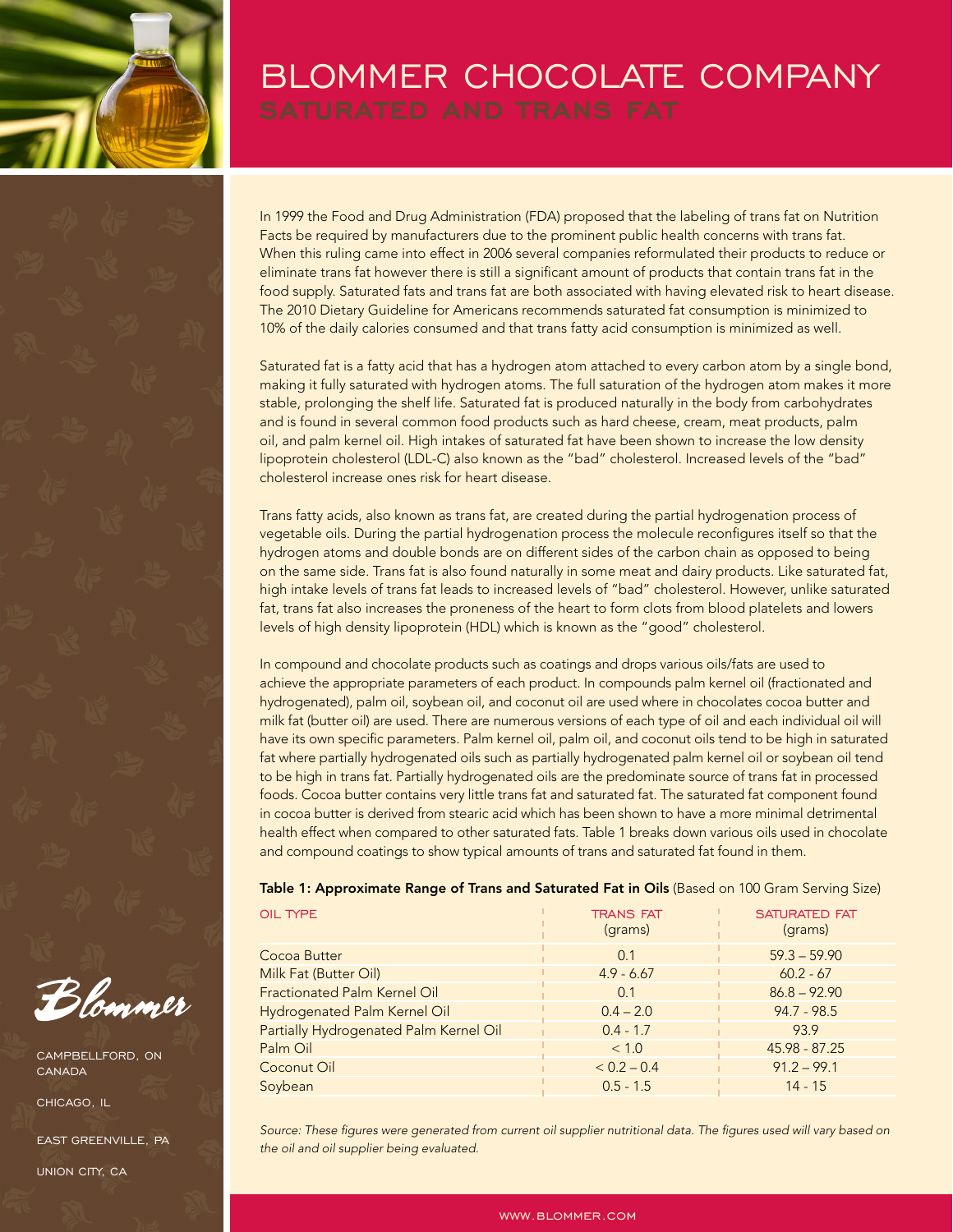

## BLOMMER CHOCOLATE COMPANY

In 1999 the Food and Drug Administration (FDA) proposed that the labeling of trans fat on Nutrition Facts be required by manufacturers due to the prominent public health concerns with trans fat. When this ruling came into effect in 2006 several companies reformulated their products to reduce or eliminate trans fat however there is still a significant amount of products that contain trans fat in the food supply. Saturated fats and trans fat are both associated with having elevated risk to heart disease. The 2010 Dietary Guideline for Americans recommends saturated fat consumption is minimized to 10% of the daily calories consumed and that trans fatty acid consumption is minimized as well.

Saturated fat is a fatty acid that has a hydrogen atom attached to every carbon atom by a single bond, making it fully saturated with hydrogen atoms. The full saturation of the hydrogen atom makes it more stable, prolonging the shelf life. Saturated fat is produced naturally in the body from carbohydrates and is found in several common food products such as hard cheese, cream, meat products, palm oil, and palm kernel oil. High intakes of saturated fat have been shown to increase the low density lipoprotein cholesterol (LDL-C) also known as the "bad" cholesterol. Increased levels of the "bad" cholesterol increase ones risk for heart disease.

Trans fatty acids, also known as trans fat, are created during the partial hydrogenation process of vegetable oils. During the partial hydrogenation process the molecule reconfigures itself so that the hydrogen atoms and double bonds are on different sides of the carbon chain as opposed to being on the same side. Trans fat is also found naturally in some meat and dairy products. Like saturated fat, high intake levels of trans fat leads to increased levels of "bad" cholesterol. However, unlike saturated fat, trans fat also increases the proneness of the heart to form clots from blood platelets and lowers levels of high density lipoprotein (HDL) which is known as the "good" cholesterol.

In compound and chocolate products such as coatings and drops various oils/fats are used to achieve the appropriate parameters of each product. In compounds palm kernel oil (fractionated and hydrogenated), palm oil, soybean oil, and coconut oil are used where in chocolates cocoa butter and milk fat (butter oil) are used. There are numerous versions of each type of oil and each individual oil will have its own specific parameters. Palm kernel oil, palm oil, and coconut oils tend to be high in saturated fat where partially hydrogenated oils such as partially hydrogenated palm kernel oil or soybean oil tend to be high in trans fat. Partially hydrogenated oils are the predominate source of trans fat in processed foods. Cocoa butter contains very little trans fat and saturated fat. The saturated fat component found in cocoa butter is derived from stearic acid which has been shown to have a more minimal detrimental health effect when compared to other saturated fats. Table 1 breaks down various oils used in chocolate and compound coatings to show typical amounts of trans and saturated fat found in them.

Table 1: Approximate Range of Trans and Saturated Fat in Oils (Based on 100 Gram Serving Size)

| OIL TYPE                               | <b>TRANS FAT</b><br>(grams) | <b>SATURATED FAT</b><br>(grams) |
|----------------------------------------|-----------------------------|---------------------------------|
| Cocoa Butter                           | 0.1                         | $59.3 - 59.90$                  |
| Milk Fat (Butter Oil)                  | $4.9 - 6.67$                | $60.2 - 67$                     |
| <b>Fractionated Palm Kernel Oil</b>    | 0.1                         | $86.8 - 92.90$                  |
| Hydrogenated Palm Kernel Oil           | $0.4 - 2.0$                 | $94.7 - 98.5$                   |
| Partially Hydrogenated Palm Kernel Oil | $0.4 - 1.7$                 | 93.9                            |
| Palm Oil                               | < 1.0                       | 45.98 - 87.25                   |
| Coconut Oil                            | $< 0.2 - 0.4$               | $91.2 - 99.1$                   |
| Soybean                                | $0.5 - 1.5$                 | $14 - 15$                       |

Source: These figures were generated from current oil supplier nutritional data. The figures used will vary based on *the oil and oil supplier being evaluated.*

Blommer

CAMPBELLFORD, ON **CANADA** 

CHICAGO, IL

EAST GREENVILLE, PA UNION CITY, CA